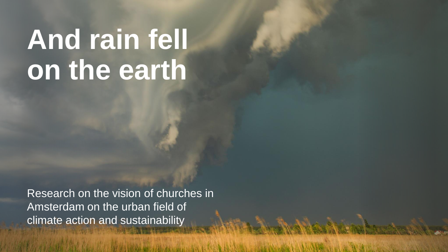# **And rain fell on the earth**

Research on the vision of churches in Amsterdam on the urban field of climate action and sustainability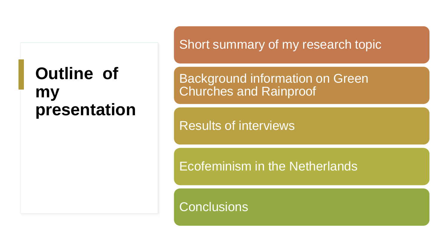#### **Outline of my presentation**

Short summary of my research topic

Background information on Green Churches and Rainproof

Results of interviews

Ecofeminism in the Netherlands

**Conclusions**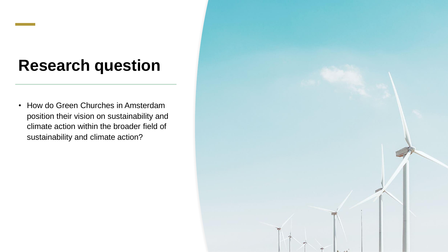#### **Research question**

• How do Green Churches in Amsterdam position their vision on sustainability and climate action within the broader field of sustainability and climate action?

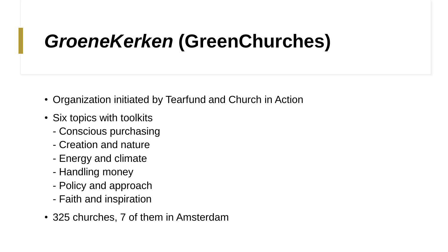# *GroeneKerken* **(GreenChurches)**

- Organization initiated by Tearfund and Church in Action
- Six topics with toolkits
	- Conscious purchasing
	- Creation and nature
	- Energy and climate
	- Handling money
	- Policy and approach
	- Faith and inspiration
- 325 churches, 7 of them in Amsterdam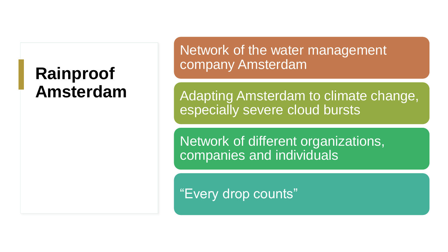#### **Rainproof Amsterdam**

Network of the water management company Amsterdam

Adapting Amsterdam to climate change, especially severe cloud bursts

Network of different organizations, companies and individuals

"Every drop counts"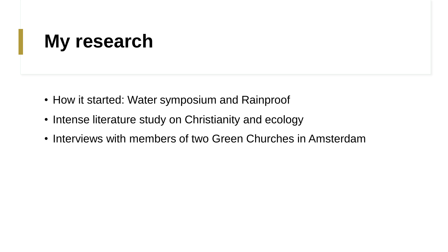# **My research**

- How it started: Water symposium and Rainproof
- Intense literature study on Christianity and ecology
- Interviews with members of two Green Churches in Amsterdam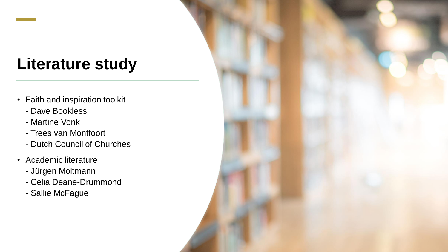### **Literature study**

- Faith and inspiration toolkit
	- Dave Bookless
	- Martine Vonk
	- Trees van Montfoort
	- Dutch Council of Churches
- Academic literature
	- Jürgen Moltmann
	- Celia Deane-Drummond
	- Sallie McFague

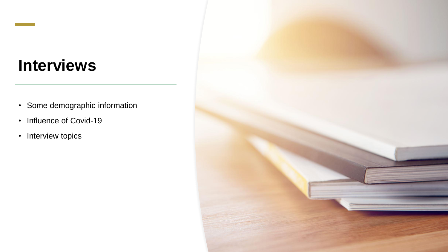#### **Interviews**

- Some demographic information
- Influence of Covid-19
- Interview topics

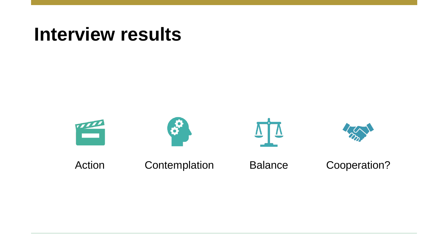### **Interview results**

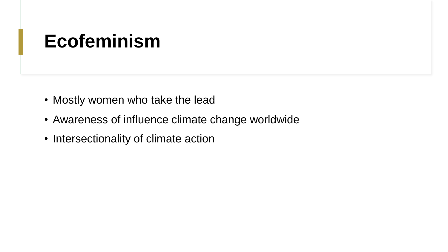# **Ecofeminism**

- Mostly women who take the lead
- Awareness of influence climate change worldwide
- Intersectionality of climate action